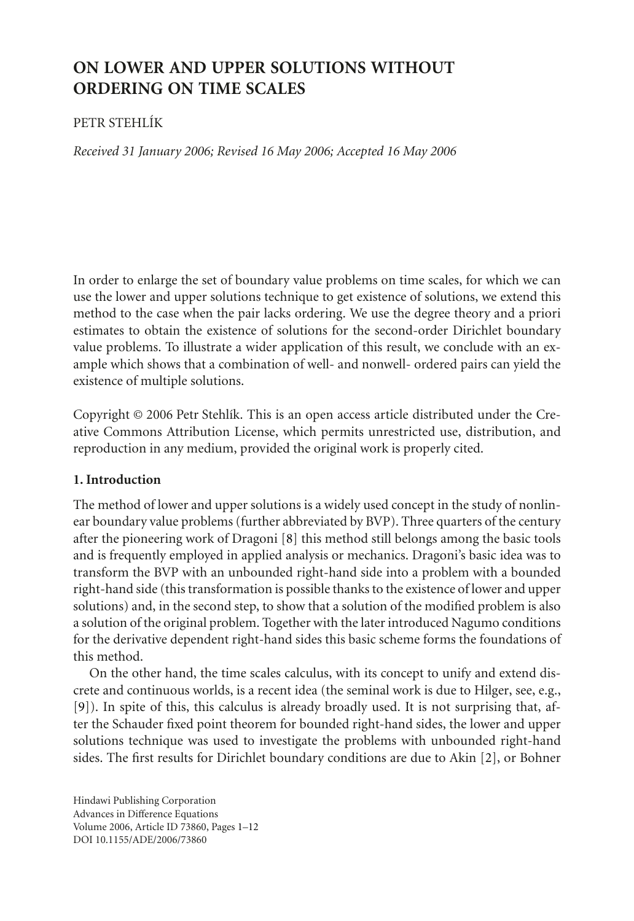# **ON LOWER AND UPPER SOLUTIONS WITHOUT ORDERING ON TIME SCALES**

# PETR STEHLÍK

*Received 31 January 2006; Revised 16 May 2006; Accepted 16 May 2006*

In order to enlarge the set of boundary value problems on time scales, for which we can use the lower and upper solutions technique to get existence of solutions, we extend this method to the case when the pair lacks ordering. We use the degree theory and a priori estimates to obtain the existence of solutions for the second-order Dirichlet boundary value problems. To illustrate a wider application of this result, we conclude with an example which shows that a combination of well- and nonwell- ordered pairs can yield the existence of multiple solutions.

Copyright  $@$  2006 Petr Stehlík. This is an open access article distributed under the Creative Commons Attribution License, which permits unrestricted use, distribution, and reproduction in any medium, provided the original work is properly cited.

# **1. Introduction**

The method of lower and upper solutions is a widely used concept in the study of nonlinear boundary value problems (further abbreviated by BVP). Three quarters of the century after the pioneering work of Dragoni [\[8](#page-11-0)] this method still belongs among the basic tools and is frequently employed in applied analysis or mechanics. Dragoni's basic idea was to transform the BVP with an unbounded right-hand side into a problem with a bounded right-hand side (this transformation is possible thanks to the existence of lower and upper solutions) and, in the second step, to show that a solution of the modified problem is also a solution of the original problem. Together with the later introduced Nagumo conditions for the derivative dependent right-hand sides this basic scheme forms the foundations of this method.

On the other hand, the time scales calculus, with its concept to unify and extend discrete and continuous worlds, is a recent idea (the seminal work is due to Hilger, see, e.g., [\[9\]](#page-11-1)). In spite of this, this calculus is already broadly used. It is not surprising that, after the Schauder fixed point theorem for bounded right-hand sides, the lower and upper solutions technique was used to investigate the problems with unbounded right-hand sides. The first results for Dirichlet boundary conditions are due to Akin [\[2](#page-10-0)], or Bohner

Hindawi Publishing Corporation Advances in Difference Equations Volume 2006, Article ID 73860, Pages 1[–12](#page-10-1) DOI 10.1155/ADE/2006/73860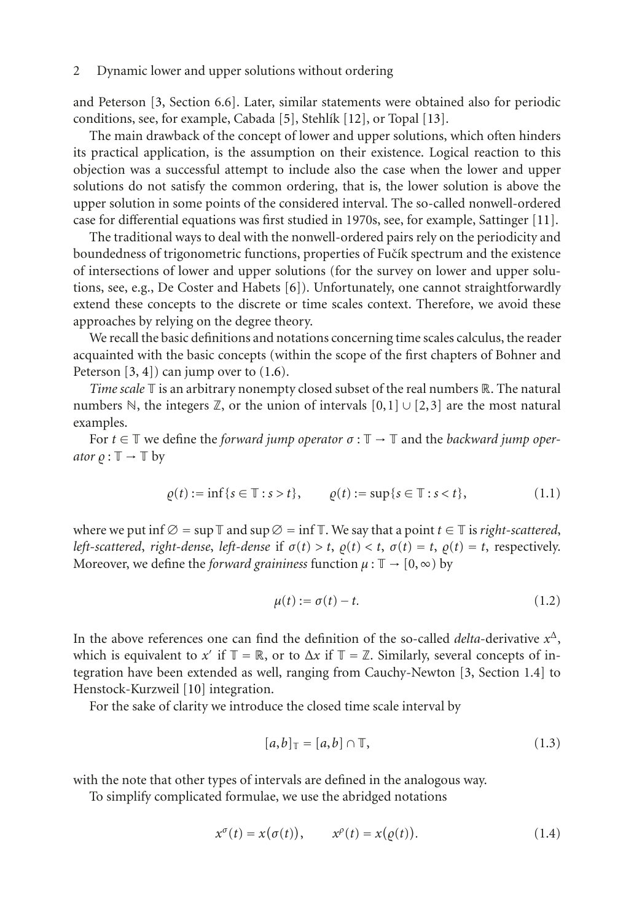and Peterson [\[3,](#page-11-2) Section 6.6]. Later, similar statements were obtained also for periodic conditions, see, for example, Cabada [\[5](#page-11-3)], Stehlík [\[12\]](#page-11-4), or Topal [\[13](#page-11-5)].

The main drawback of the concept of lower and upper solutions, which often hinders its practical application, is the assumption on their existence. Logical reaction to this objection was a successful attempt to include also the case when the lower and upper solutions do not satisfy the common ordering, that is, the lower solution is above the upper solution in some points of the considered interval. The so-called nonwell-ordered case for differential equations was first studied in 1970s, see, for example, Sattinger [\[11](#page-11-6)].

The traditional ways to deal with the nonwell-ordered pairs rely on the periodicity and boundedness of trigonometric functions, properties of Fučík spectrum and the existence of intersections of lower and upper solutions (for the survey on lower and upper solutions, see, e.g., De Coster and Habets [\[6\]](#page-11-7)). Unfortunately, one cannot straightforwardly extend these concepts to the discrete or time scales context. Therefore, we avoid these approaches by relying on the degree theory.

We recall the basic definitions and notations concerning time scales calculus, the reader acquainted with the basic concepts (within the scope of the first chapters of Bohner and Peterson  $[3, 4]$  $[3, 4]$  $[3, 4]$  can jump over to  $(1.6)$ .

*Time scale* T is an arbitrary nonempty closed subset of the real numbers R. The natural numbers  $\mathbb N$ , the integers  $\mathbb Z$ , or the union of intervals  $[0,1] \cup [2,3]$  are the most natural examples.

For  $t \in \mathbb{T}$  we define the *forward jump operator*  $\sigma : \mathbb{T} \to \mathbb{T}$  and the *backward jump operator*  $\rho : \mathbb{T} \to \mathbb{T}$  by

$$
\varrho(t) := \inf \{ s \in \mathbb{T} : s > t \}, \qquad \varrho(t) := \sup \{ s \in \mathbb{T} : s < t \}, \tag{1.1}
$$

where we put inf  $\emptyset = \sup \mathbb{T}$  and  $\sup \emptyset = \inf \mathbb{T}$ . We say that a point  $t \in \mathbb{T}$  is *right-scattered*, *left-scattered, right-dense, left-dense if*  $\sigma(t) > t$ ,  $\rho(t) < t$ ,  $\sigma(t) = t$ ,  $\rho(t) = t$ , respectively. Moreover, we define the *forward graininess* function  $\mu : \mathbb{T} \to [0, \infty)$  by

$$
\mu(t) := \sigma(t) - t. \tag{1.2}
$$

In the above references one can find the definition of the so-called *delta*-derivative  $x^{\Delta}$ , which is equivalent to x' if  $\mathbb{T} = \mathbb{R}$ , or to  $\Delta x$  if  $\mathbb{T} = \mathbb{Z}$ . Similarly, several concepts of integration have been extended as well, ranging from Cauchy-Newton [\[3,](#page-11-2) Section 1.4] to Henstock-Kurzweil [\[10](#page-11-9)] integration.

For the sake of clarity we introduce the closed time scale interval by

$$
[a,b]_{\mathbb{T}} = [a,b] \cap \mathbb{T},\tag{1.3}
$$

with the note that other types of intervals are defined in the analogous way.

To simplify complicated formulae, we use the abridged notations

$$
x^{\sigma}(t) = x(\sigma(t)), \qquad x^{\rho}(t) = x(\varrho(t)). \qquad (1.4)
$$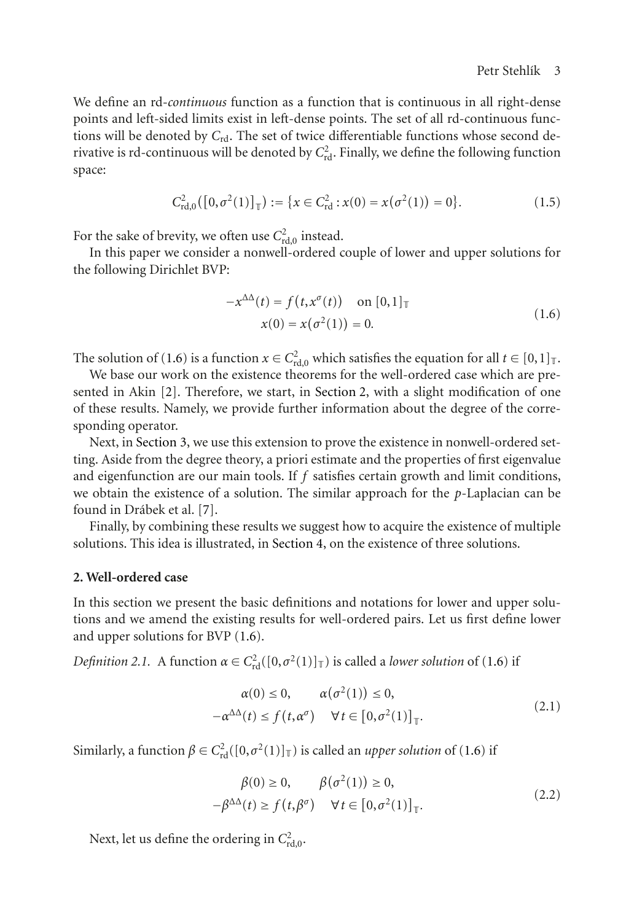We define an rd-*continuous* function as a function that is continuous in all right-dense points and left-sided limits exist in left-dense points. The set of all rd-continuous functions will be denoted by C<sub>rd</sub>. The set of twice differentiable functions whose second derivative is rd-continuous will be denoted by  $C_{\rm rd}^2$ . Finally, we define the following function space:

$$
C_{\rm rd,0}^2([0,\sigma^2(1)]_{\mathbb{T}}) := \{x \in C_{\rm rd}^2 : x(0) = x(\sigma^2(1)) = 0\}.
$$
 (1.5)

For the sake of brevity, we often use  $C_{\text{rd},0}^2$  instead.

In this paper we consider a nonwell-ordered couple of lower and upper solutions for the following Dirichlet BVP:

<span id="page-2-0"></span>
$$
-x^{\Delta\Delta}(t) = f(t, x^{\sigma}(t)) \text{ on } [0, 1]_{\mathbb{T}}
$$
  

$$
x(0) = x(\sigma^2(1)) = 0.
$$
 (1.6)

The solution of [\(1.6\)](#page-2-0) is a function  $x \in C_{\text{rd},0}^2$  which satisfies the equation for all  $t \in [0,1]_T$ .

We base our work on the existence theorems for the well-ordered case which are presented in Akin [\[2](#page-10-0)]. Therefore, we start, in [Section 2,](#page-2-1) with a slight modification of one of these results. Namely, we provide further information about the degree of the corresponding operator.

Next, in [Section 3,](#page-4-0) we use this extension to prove the existence in nonwell-ordered setting. Aside from the degree theory, a priori estimate and the properties of first eigenvalue and eigenfunction are our main tools. If *f* satisfies certain growth and limit conditions, we obtain the existence of a solution. The similar approach for the *p*-Laplacian can be found in Drábek et al. [[7\]](#page-11-10).

Finally, by combining these results we suggest how to acquire the existence of multiple solutions. This idea is illustrated, in [Section 4,](#page-9-0) on the existence of three solutions.

# <span id="page-2-1"></span>**2. Well-ordered case**

In this section we present the basic definitions and notations for lower and upper solutions and we amend the existing results for well-ordered pairs. Let us first define lower and upper solutions for BVP [\(1.6\)](#page-2-0).

*Definition 2.1.* A function  $\alpha \in C^2_{\text{rd}}([0, \sigma^2(1)]_T)$  is called a *lower solution* of [\(1.6\)](#page-2-0) if

$$
\alpha(0) \le 0, \qquad \alpha(\sigma^2(1)) \le 0,
$$
  

$$
-\alpha^{\Delta\Delta}(t) \le f(t, \alpha^{\sigma}) \quad \forall t \in [0, \sigma^2(1)]_{\mathbb{T}}.
$$
 (2.1)

Similarly, a function  $\beta \in C^2_{\rm rd}([0, \sigma^2(1)]_{\mathbb{T}})$  is called an *upper solution* of [\(1.6\)](#page-2-0) if

$$
\beta(0) \ge 0, \qquad \beta(\sigma^2(1)) \ge 0,
$$
  

$$
-\beta^{\Delta\Delta}(t) \ge f(t, \beta^{\sigma}) \qquad \forall t \in [0, \sigma^2(1)]_{\mathbb{T}}.
$$
 (2.2)

Next, let us define the ordering in  $C_{\text{rd},0}^2$ .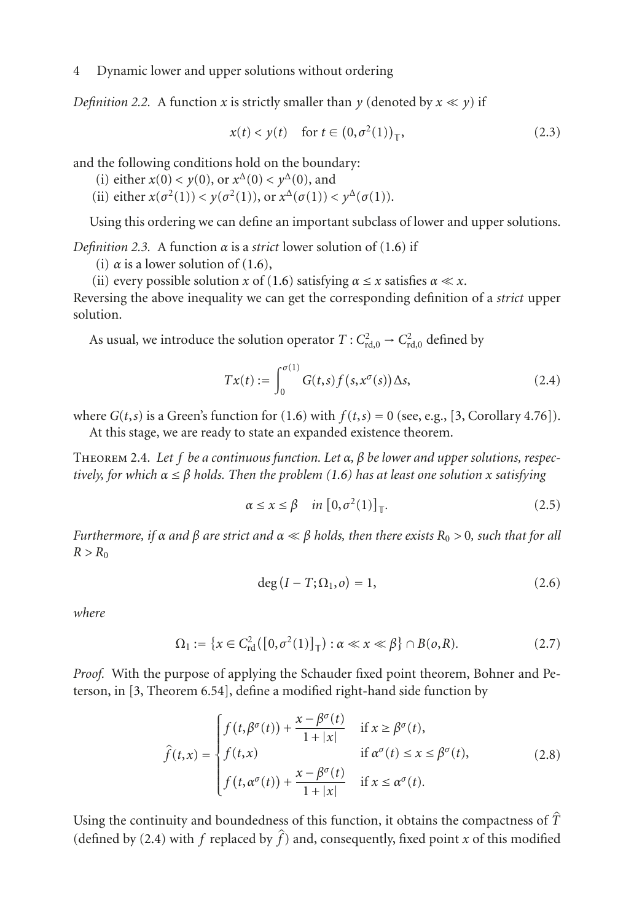*Definition 2.2.* A function *x* is strictly smaller than *y* (denoted by  $x \ll y$ ) if

$$
x(t) < y(t) \quad \text{for } t \in \left(0, \sigma^2(1)\right)_{\mathbb{T}},\tag{2.3}
$$

and the following conditions hold on the boundary:

- (i) either  $x(0) < y(0)$ , or  $x^{\Delta}(0) < y^{\Delta}(0)$ , and
- (ii) either  $x(\sigma^2(1)) < y(\sigma^2(1))$ , or  $x^{\Delta}(\sigma(1)) < y^{\Delta}(\sigma(1))$ .

Using this ordering we can define an important subclass of lower and upper solutions.

*Definition 2.3.* A function  $\alpha$  is a *strict* lower solution of [\(1.6\)](#page-2-0) if

(i)  $\alpha$  is a lower solution of [\(1.6\)](#page-2-0),

(ii) every possible solution *x* of [\(1.6\)](#page-2-0) satisfying  $\alpha \leq x$  satisfies  $\alpha \ll x$ .

Reversing the above inequality we can get the corresponding definition of a *strict* upper solution.

As usual, we introduce the solution operator  $T: C^2_{\text{rd},0} \to C^2_{\text{rd},0}$  defined by

<span id="page-3-0"></span>
$$
Tx(t) := \int_0^{\sigma(1)} G(t,s)f(s,x^{\sigma}(s))\Delta s,
$$
\n(2.4)

<span id="page-3-1"></span>where  $G(t, s)$  is a Green's function for [\(1.6\)](#page-2-0) with  $f(t, s) = 0$  (see, e.g., [\[3,](#page-11-2) Corollary 4.76]).

At this stage, we are ready to state an expanded existence theorem.

Theorem 2.4. *Let f be a continuous function. Let α, β be lower and upper solutions, respectively, for which <sup>α</sup>* <sup>≤</sup> *<sup>β</sup> holds. Then the problem [\(1.6\)](#page-2-0) has at least one solution <sup>x</sup> satisfying*

$$
\alpha \le x \le \beta \quad \text{in } [0, \sigma^2(1)]_{\mathbb{T}}. \tag{2.5}
$$

*Furthermore, if*  $\alpha$  *and*  $\beta$  *are strict and*  $\alpha \ll \beta$  *holds, then there exists*  $R_0 > 0$ *, such that for all*  $R > R_0$ 

$$
\deg(I - T; \Omega_1, o) = 1,\tag{2.6}
$$

*where*

$$
\Omega_1 := \{ x \in C^2_{\rm rd}([0, \sigma^2(1)]_{\mathbb{T}}) : \alpha \ll x \ll \beta \} \cap B(o, R).
$$
 (2.7)

*Proof.* With the purpose of applying the Schauder fixed point theorem, Bohner and Peterson, in [\[3,](#page-11-2) Theorem 6.54], define a modified right-hand side function by

$$
\hat{f}(t,x) = \begin{cases}\nf(t,\beta^{\sigma}(t)) + \frac{x - \beta^{\sigma}(t)}{1+|x|} & \text{if } x \ge \beta^{\sigma}(t), \\
f(t,x) & \text{if } \alpha^{\sigma}(t) \le x \le \beta^{\sigma}(t), \\
f(t,\alpha^{\sigma}(t)) + \frac{x - \beta^{\sigma}(t)}{1+|x|} & \text{if } x \le \alpha^{\sigma}(t).\n\end{cases}
$$
\n(2.8)

Using the continuity and boundedness of this function, it obtains the compactness of  $\hat{T}$ (defined by [\(2.4\)](#page-3-0) with  $f$  replaced by  $\hat{f}$ ) and, consequently, fixed point  $x$  of this modified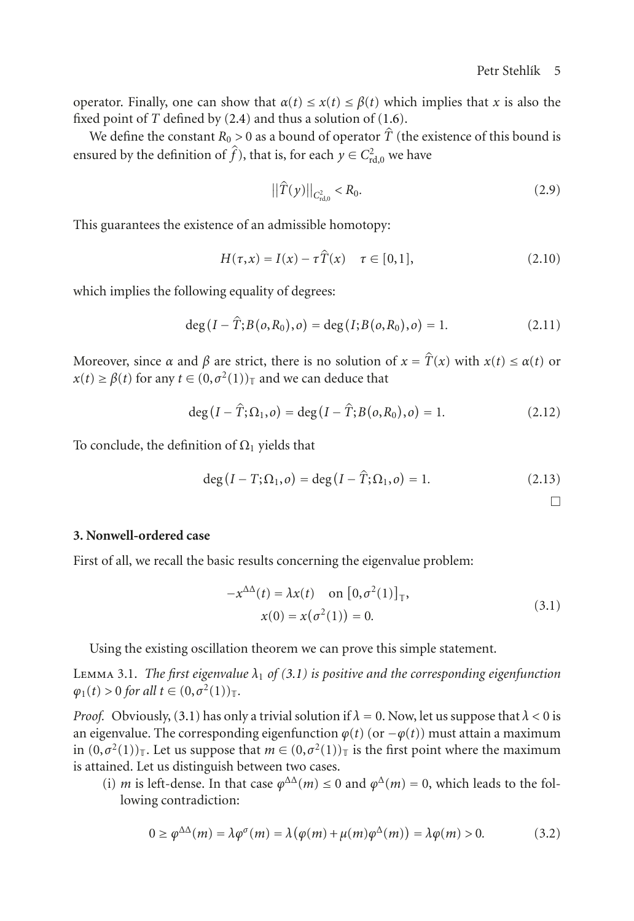operator. Finally, one can show that  $\alpha(t) \leq x(t) \leq \beta(t)$  which implies that *x* is also the fixed point of *T* defined by [\(2.4\)](#page-3-0) and thus a solution of [\(1.6\)](#page-2-0).

We define the constant  $R_0 > 0$  as a bound of operator  $\hat{T}$  (the existence of this bound is ensured by the definition of  $\hat{f}$ ), that is, for each  $y \in C<sub>rd,0</sub><sup>2</sup>$  we have

$$
\left\| \widehat{T}(y) \right\|_{C^2_{\text{rd},0}} < R_0. \tag{2.9}
$$

This guarantees the existence of an admissible homotopy:

$$
H(\tau, x) = I(x) - \tau \hat{T}(x) \quad \tau \in [0, 1], \tag{2.10}
$$

which implies the following equality of degrees:

$$
\deg(I - \hat{T}; B(o, R_0), o) = \deg(I; B(o, R_0), o) = 1.
$$
\n(2.11)

Moreover, since  $\alpha$  and  $\beta$  are strict, there is no solution of  $x = \hat{T}(x)$  with  $x(t) \leq \alpha(t)$  or  $x(t) \geq \beta(t)$  for any  $t \in (0, \sigma^2(1))$ <sub>T</sub> and we can deduce that

$$
\deg(I - \hat{T}; \Omega_1, o) = \deg(I - \hat{T}; B(o, R_0), o) = 1.
$$
 (2.12)

To conclude, the definition of  $\Omega_1$  yields that

$$
\deg(I - T; \Omega_1, o) = \deg(I - \hat{T}; \Omega_1, o) = 1.
$$
 (2.13)

<span id="page-4-1"></span> $\Box$ 

# <span id="page-4-0"></span>**3. Nonwell-ordered case**

First of all, we recall the basic results concerning the eigenvalue problem:

$$
-x^{\Delta\Delta}(t) = \lambda x(t) \quad \text{on } [0, \sigma^2(1)]_{\mathbb{T}},
$$
  

$$
x(0) = x(\sigma^2(1)) = 0.
$$
 (3.1)

Using the existing oscillation theorem we can prove this simple statement.

<span id="page-4-2"></span>Lemma 3.1. *The first eigenvalue λ*<sup>1</sup> *of [\(3.1\)](#page-4-1) is positive and the corresponding eigenfunction*  $\varphi_1(t) > 0$  *for all*  $t \in (0, \sigma^2(1))_{\mathbb{T}}$ .

*Proof.* Obviously, [\(3.1\)](#page-4-1) has only a trivial solution if  $\lambda = 0$ . Now, let us suppose that  $\lambda < 0$  is an eigenvalue. The corresponding eigenfunction  $\varphi(t)$  (or  $-\varphi(t)$ ) must attain a maximum in  $(0, \sigma^2(1))_{\mathbb{T}}$ . Let us suppose that  $m \in (0, \sigma^2(1))_{\mathbb{T}}$  is the first point where the maximum is attained. Let us distinguish between two cases.

(i) *m* is left-dense. In that case  $\varphi^{\Delta\Delta}(m) \le 0$  and  $\varphi^{\Delta}(m) = 0$ , which leads to the following contradiction:

$$
0 \ge \varphi^{\Delta\Delta}(m) = \lambda \varphi^{\sigma}(m) = \lambda (\varphi(m) + \mu(m)\varphi^{\Delta}(m)) = \lambda \varphi(m) > 0.
$$
 (3.2)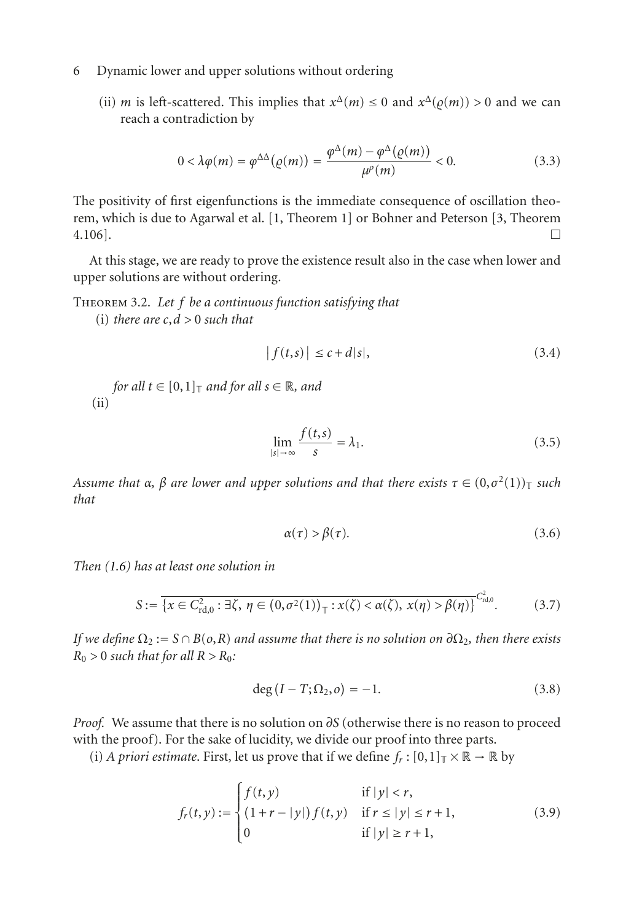(ii) *m* is left-scattered. This implies that  $x^{\Delta}(m) \le 0$  and  $x^{\Delta}(\rho(m)) > 0$  and we can reach a contradiction by

$$
0 < \lambda \varphi(m) = \varphi^{\Delta\Delta}(\varrho(m)) = \frac{\varphi^{\Delta}(m) - \varphi^{\Delta}(\varrho(m))}{\mu^{\rho}(m)} < 0.
$$
 (3.3)

The positivity of first eigenfunctions is the immediate consequence of oscillation theorem, which is due to Agarwal et al. [\[1,](#page-10-2) Theorem 1] or Bohner and Peterson [\[3,](#page-11-2) Theorem  $4.106$ ].

<span id="page-5-2"></span>At this stage, we are ready to prove the existence result also in the case when lower and upper solutions are without ordering.

Theorem 3.2. *Let f be a continuous function satisfying that* (i) *there are*  $c, d > 0$  *such that* 

<span id="page-5-0"></span>
$$
|f(t,s)| \leq c + d|s|,\tag{3.4}
$$

for all 
$$
t \in [0,1]_{\mathbb{T}}
$$
 and for all  $s \in \mathbb{R}$ , and  
(ii)

<span id="page-5-1"></span>
$$
\lim_{|s| \to \infty} \frac{f(t,s)}{s} = \lambda_1. \tag{3.5}
$$

*Assume that*  $\alpha$ ,  $\beta$  *are lower and upper solutions and that there exists*  $\tau \in (0, \sigma^2(1))$ <sub>T</sub> *such that*

$$
\alpha(\tau) > \beta(\tau). \tag{3.6}
$$

*Then [\(1.6\)](#page-2-0) has at least one solution in*

$$
S := \overline{\{x \in C_{\rm rd,0}^2 : \exists \zeta, \, \eta \in (0, \sigma^2(1))_{\,\mathbb{T}} : x(\zeta) < \alpha(\zeta), \, x(\eta) > \beta(\eta)\}}^{C_{\rm rd,0}^2}.\tag{3.7}
$$

*If we define*  $\Omega_2 := S \cap B(o, R)$  *and assume that there is no solution on*  $\partial\Omega_2$ *, then there exists*  $R_0 > 0$  *such that for all*  $R > R_0$ *:* 

$$
\deg(I - T; \Omega_2, o) = -1. \tag{3.8}
$$

*Proof.* We assume that there is no solution on  $\partial S$  (otherwise there is no reason to proceed with the proof). For the sake of lucidity, we divide our proof into three parts.

(i) *A priori estimate*. First, let us prove that if we define  $f_r : [0,1]_T \times \mathbb{R} \to \mathbb{R}$  by

$$
f_r(t, y) := \begin{cases} f(t, y) & \text{if } |y| < r, \\ (1 + r - |y|) f(t, y) & \text{if } r \le |y| \le r + 1, \\ 0 & \text{if } |y| \ge r + 1, \end{cases}
$$
(3.9)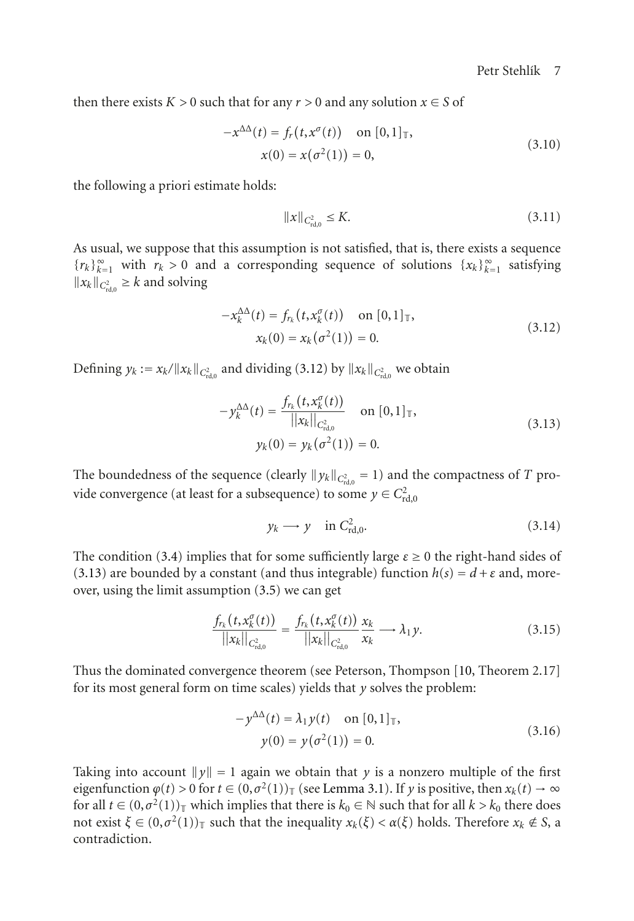<span id="page-6-2"></span>Petr Stehlík 7

then there exists  $K > 0$  such that for any  $r > 0$  and any solution  $x \in S$  of

$$
-x^{\Delta\Delta}(t) = f_r(t, x^{\sigma}(t)) \quad \text{on } [0, 1]_{\mathbb{T}},
$$
  

$$
x(0) = x(\sigma^2(1)) = 0,
$$
 (3.10)

the following a priori estimate holds:

<span id="page-6-0"></span>
$$
||x||_{C_{\rm rd,0}^2} \le K. \tag{3.11}
$$

As usual, we suppose that this assumption is not satisfied, that is, there exists a sequence *k*<sub>*k*</sub>  $\sum_{k=1}^{\infty}$  with *r<sub>k</sub>* > 0 and a corresponding sequence of solutions  $\{x_k\}_{k=1}^{\infty}$  satisfying  $||x_k||_{C^2_{\text{rd},0}} \ge k$  and solving

$$
-x_k^{\Delta\Delta}(t) = f_{r_k}(t, x_k^{\sigma}(t)) \quad \text{on } [0, 1]_{\mathbb{T}},
$$
  

$$
x_k(0) = x_k(\sigma^2(1)) = 0.
$$
 (3.12)

Defining  $y_k := x_k / ||x_k||_{C^2_{\text{rd},0}}$  and dividing [\(3.12\)](#page-6-0) by  $||x_k||_{C^2_{\text{rd},0}}$  we obtain

$$
-y_k^{\Delta\Delta}(t) = \frac{f_{r_k}(t, x_k^{\sigma}(t))}{||x_k||_{C_{\text{rd},0}^2}} \quad \text{on } [0, 1]_{\mathbb{T}},
$$
  

$$
y_k(0) = y_k(\sigma^2(1)) = 0.
$$
 (3.13)

The boundedness of the sequence (clearly  $||y_k||_{C_{\text{rd},0}^2} = 1$ ) and the compactness of *T* provide convergence (at least for a subsequence) to some  $y \in C<sup>2</sup><sub>rd,0</sub>$ 

<span id="page-6-1"></span>
$$
y_k \longrightarrow y \quad \text{in } C^2_{\text{rd},0}.\tag{3.14}
$$

The condition [\(3.4\)](#page-5-0) implies that for some sufficiently large  $\varepsilon \ge 0$  the right-hand sides of [\(3.13\)](#page-6-1) are bounded by a constant (and thus integrable) function  $h(s) = d + \varepsilon$  and, moreover, using the limit assumption [\(3.5\)](#page-5-1) we can get

$$
\frac{f_{r_k}(t, x_k^{\sigma}(t))}{\|x_k\|_{C_{\rm rd,0}^2}} = \frac{f_{r_k}(t, x_k^{\sigma}(t))}{\|x_k\|_{C_{\rm rd,0}^2}} \frac{x_k}{x_k} \longrightarrow \lambda_1 y.
$$
\n(3.15)

Thus the dominated convergence theorem (see Peterson, Thompson [\[10](#page-11-9), Theorem 2.17] for its most general form on time scales) yields that *y* solves the problem:

$$
-y^{\Delta\Delta}(t) = \lambda_1 y(t) \quad \text{on } [0,1]_{\mathbb{T}},
$$
  
\n
$$
y(0) = y(\sigma^2(1)) = 0.
$$
\n(3.16)

Taking into account  $||y|| = 1$  again we obtain that *y* is a nonzero multiple of the first eigenfunction  $\varphi(t) > 0$  for  $t \in (0, \sigma^2(1))$  (see [Lemma 3.1\)](#page-4-2). If *y* is positive, then  $x_k(t) \to \infty$ for all  $t \in (0, \sigma^2(1))_{\mathbb{T}}$  which implies that there is  $k_0 \in \mathbb{N}$  such that for all  $k > k_0$  there does not exist  $\xi \in (0, \sigma^2(1))_{\mathbb{T}}$  such that the inequality  $x_k(\xi) < \alpha(\xi)$  holds. Therefore  $x_k \notin S$ , a contradiction.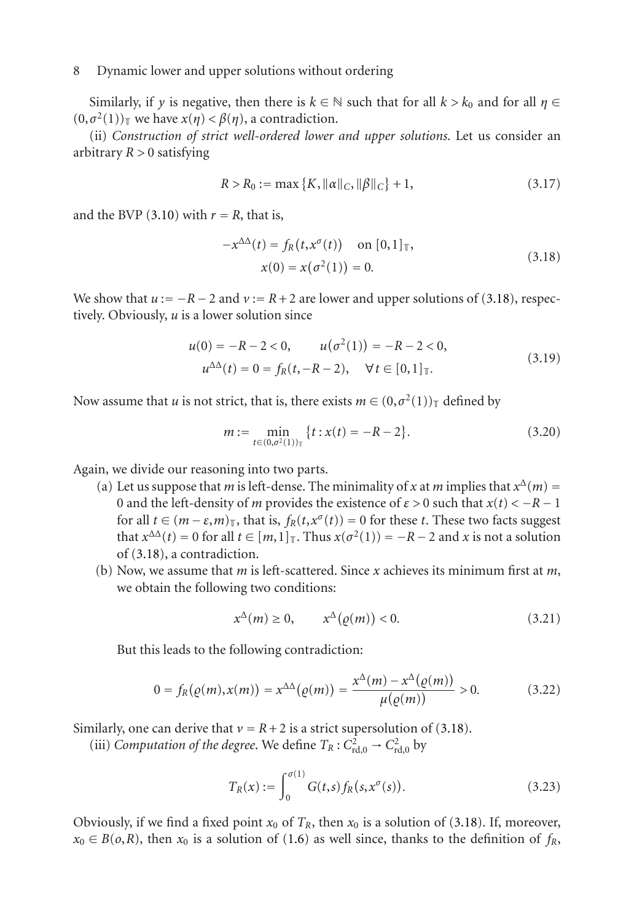Similarly, if *y* is negative, then there is  $k \in \mathbb{N}$  such that for all  $k > k_0$  and for all  $\eta \in$  $(0, \sigma^2(1))_{\mathbb{T}}$  we have  $x(\eta) < \beta(\eta)$ , a contradiction.

(ii) *Construction of strict well-ordered lower and upper solutions*. Let us consider an arbitrary *R >* 0 satisfying

<span id="page-7-1"></span>
$$
R > R_0 := \max\{K, \|\alpha\|_C, \|\beta\|_C\} + 1,\tag{3.17}
$$

and the BVP  $(3.10)$  with  $r = R$ , that is,

<span id="page-7-0"></span>
$$
-x^{\Delta\Delta}(t) = f_R(t, x^{\sigma}(t)) \quad \text{on } [0, 1]_{\mathbb{T}},
$$
  

$$
x(0) = x(\sigma^2(1)) = 0.
$$
 (3.18)

We show that  $u := -R - 2$  and  $v := R + 2$  are lower and upper solutions of [\(3.18\)](#page-7-0), respectively. Obviously, *u* is a lower solution since

$$
u(0) = -R - 2 < 0, \qquad u(\sigma^2(1)) = -R - 2 < 0, u^{\Delta}(t) = 0 = f_R(t, -R - 2), \qquad \forall t \in [0, 1]_{\mathbb{T}}.
$$
 (3.19)

Now assume that *u* is not strict, that is, there exists  $m \in (0, \sigma^2(1))_{\mathbb{T}}$  defined by

$$
m := \min_{t \in (0, \sigma^2(1))_{\top}} \{ t : x(t) = -R - 2 \}.
$$
 (3.20)

Again, we divide our reasoning into two parts.

- (a) Let us suppose that *m* is left-dense. The minimality of *x* at *m* implies that  $x^{\Delta}(m) =$ 0 and the left-density of *<sup>m</sup>* provides the existence of *ε >* 0 such that *<sup>x</sup>*(*t*) *<sup>&</sup>lt;* <sup>−</sup>*<sup>R</sup>* <sup>−</sup> <sup>1</sup> for all  $t \in (m - \varepsilon, m)$ <sub>T</sub>, that is,  $f_R(t, x^{\sigma}(t)) = 0$  for these *t*. These two facts suggest that  $x^{\Delta\Delta}(t) = 0$  for all  $t \in [m,1]_{\mathbb{T}}$ . Thus  $x(\sigma^2(1)) = -R - 2$  and x is not a solution of [\(3.18\)](#page-7-0), a contradiction.
- (b) Now, we assume that *m* is left-scattered. Since *x* achieves its minimum first at *m*, we obtain the following two conditions:

$$
x^{\Delta}(m) \ge 0, \qquad x^{\Delta}(\varrho(m)) < 0. \tag{3.21}
$$

But this leads to the following contradiction:

$$
0 = f_R(\varrho(m), x(m)) = x^{\Delta\Delta}(\varrho(m)) = \frac{x^{\Delta}(m) - x^{\Delta}(\varrho(m))}{\mu(\varrho(m))} > 0.
$$
 (3.22)

Similarly, one can derive that  $v = R + 2$  is a strict supersolution of [\(3.18\)](#page-7-0).

(iii) *Computation of the degree*. We define  $T_R$  :  $C_{\text{rd,0}}^2 \rightarrow C_{\text{rd,0}}^2$  by

$$
T_R(x) := \int_0^{\sigma(1)} G(t,s) f_R(s, x^{\sigma}(s)).
$$
\n(3.23)

Obviously, if we find a fixed point  $x_0$  of  $T_R$ , then  $x_0$  is a solution of [\(3.18\)](#page-7-0). If, moreover,  $x_0 \in B(o, R)$ , then  $x_0$  is a solution of [\(1.6\)](#page-2-0) as well since, thanks to the definition of  $f_R$ ,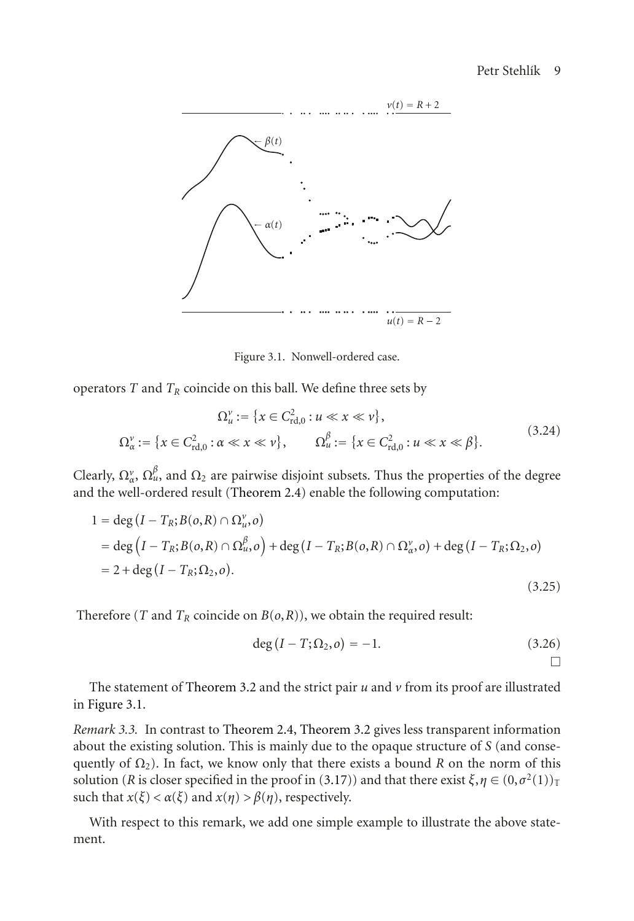

<span id="page-8-0"></span>Figure 3.1. Nonwell-ordered case.

operators  $T$  and  $T_R$  coincide on this ball. We define three sets by

$$
\Omega_u^{\nu} := \{ x \in C_{\text{rd},0}^2 : u \ll x \ll \nu \},
$$
\n
$$
\Omega_\alpha^{\nu} := \{ x \in C_{\text{rd},0}^2 : \alpha \ll x \ll \nu \}, \qquad \Omega_u^{\beta} := \{ x \in C_{\text{rd},0}^2 : u \ll x \ll \beta \}.
$$
\n(3.24)

Clearly,  $\Omega^{\nu}_{\alpha}$ ,  $\Omega^{\beta}_{\mu}$ , and  $\Omega_2$  are pairwise disjoint subsets. Thus the properties of the degree and the well-ordered result [\(Theorem 2.4\)](#page-3-1) enable the following computation:

$$
1 = \deg (I - T_R; B(o, R) \cap \Omega_u^v, o)
$$
  
= deg (I - T\_R; B(o, R) \cap \Omega\_u^{\beta}, o) + deg (I - T\_R; B(o, R) \cap \Omega\_u^v, o) + deg (I - T\_R; \Omega\_2, o)  
= 2 + deg (I - T\_R; \Omega\_2, o). (3.25)

Therefore (*T* and  $T_R$  coincide on  $B(o, R)$ ), we obtain the required result:

$$
\deg(I - T; \Omega_2, o) = -1. \tag{3.26}
$$

 $\Box$ 

The statement of [Theorem 3.2](#page-5-2) and the strict pair *u* and *v* from its proof are illustrated in [Figure 3.1.](#page-8-0)

*Remark 3.3.* In contrast to [Theorem 2.4,](#page-3-1) [Theorem 3.2](#page-5-2) gives less transparent information about the existing solution. This is mainly due to the opaque structure of *S* (and consequently of  $\Omega_2$ ). In fact, we know only that there exists a bound *R* on the norm of this solution (*R* is closer specified in the proof in [\(3.17\)](#page-7-1)) and that there exist  $\xi, \eta \in (0, \sigma^2(1))_{\mathbb{T}}$ such that  $x(\xi) < \alpha(\xi)$  and  $x(\eta) > \beta(\eta)$ , respectively.

<span id="page-8-1"></span>With respect to this remark, we add one simple example to illustrate the above statement.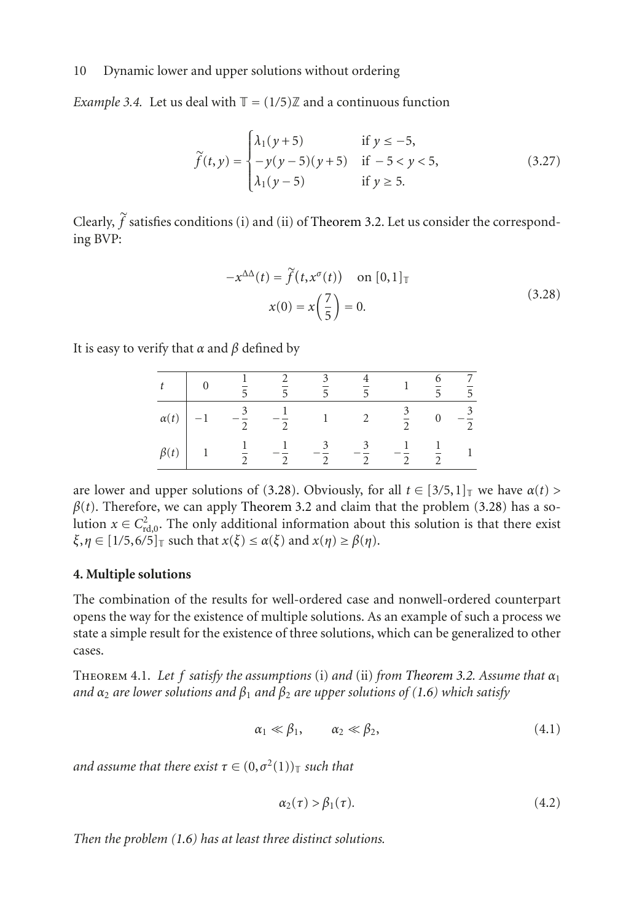*Example 3.4.* Let us deal with  $\mathbb{T} = (1/5)\mathbb{Z}$  and a continuous function

$$
\widetilde{f}(t, y) = \begin{cases}\n\lambda_1(y+5) & \text{if } y \le -5, \\
-y(y-5)(y+5) & \text{if } -5 < y < 5, \\
\lambda_1(y-5) & \text{if } y \ge 5.\n\end{cases}
$$
\n(3.27)

Clearly,  $\tilde{f}$  satisfies conditions (i) and (ii) of [Theorem 3.2.](#page-5-2) Let us consider the corresponding BVP:

<span id="page-9-1"></span>
$$
-x^{\Delta\Delta}(t) = \tilde{f}(t, x^{\sigma}(t)) \quad \text{on } [0, 1]_{\mathbb{T}}
$$

$$
x(0) = x\left(\frac{7}{5}\right) = 0.
$$
 (3.28)

It is easy to verify that *α* and *β* defined by

|             |  |  |  | <b>Security</b> |
|-------------|--|--|--|-----------------|
| $\alpha(t)$ |  |  |  |                 |
| $\beta(t)$  |  |  |  |                 |

are lower and upper solutions of [\(3.28\)](#page-9-1). Obviously, for all  $t \in [3/5,1]$  we have  $\alpha(t)$  >  $\beta(t)$ . Therefore, we can apply [Theorem 3.2](#page-5-2) and claim that the problem [\(3.28\)](#page-9-1) has a solution  $x \in C<sub>rd,0</sub><sup>2</sup>$ . The only additional information about this solution is that there exist *ξ*,  $\eta \in [1/5, 6/5]$  such that  $x(\xi) \leq \alpha(\xi)$  and  $x(\eta) \geq \beta(\eta)$ .

# <span id="page-9-0"></span>**4. Multiple solutions**

The combination of the results for well-ordered case and nonwell-ordered counterpart opens the way for the existence of multiple solutions. As an example of such a process we state a simple result for the existence of three solutions, which can be generalized to other cases.

<span id="page-9-3"></span>Theorem 4.1. *Let f satisfy the assumptions* (i) *and* (ii) *from [Theorem 3.2.](#page-5-2) Assume that α*<sup>1</sup> *and*  $α_2$  *are lower solutions and*  $β_1$  *and*  $β_2$  *are upper solutions of* [\(1.6\)](#page-2-0) *which satisfy* 

$$
\alpha_1 \ll \beta_1, \qquad \alpha_2 \ll \beta_2, \tag{4.1}
$$

*and assume that there exist*  $\tau \in (0, \sigma^2(1))$ <sub>T</sub> *such that* 

<span id="page-9-2"></span>
$$
\alpha_2(\tau) > \beta_1(\tau). \tag{4.2}
$$

*Then the problem [\(1.6\)](#page-2-0) has at least three distinct solutions.*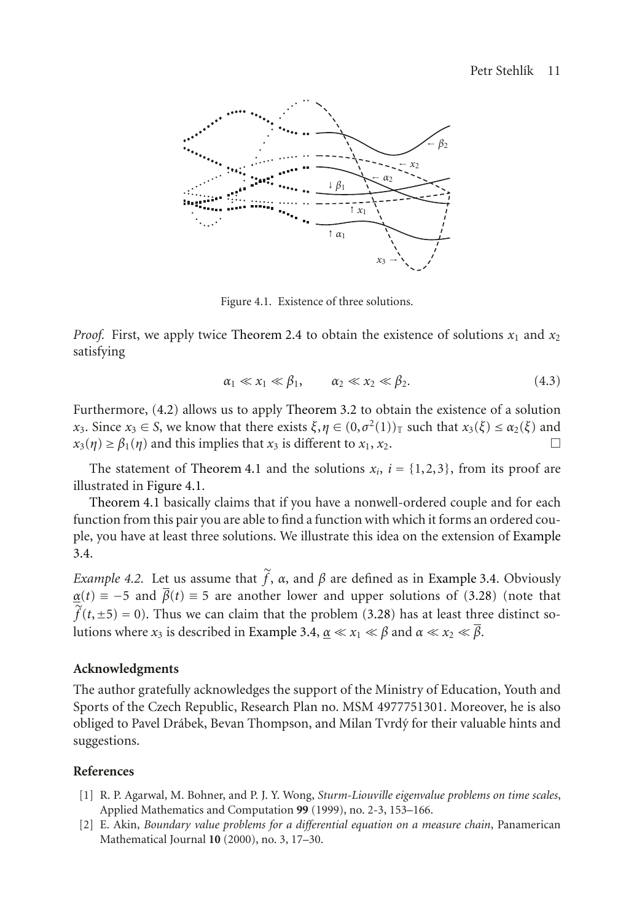

<span id="page-10-3"></span>Figure 4.1. Existence of three solutions.

*Proof.* First, we apply twice [Theorem 2.4](#page-3-1) to obtain the existence of solutions  $x_1$  and  $x_2$ satisfying

$$
\alpha_1 \ll x_1 \ll \beta_1, \qquad \alpha_2 \ll x_2 \ll \beta_2. \tag{4.3}
$$

Furthermore, [\(4.2\)](#page-9-2) allows us to apply [Theorem 3.2](#page-5-2) to obtain the existence of a solution *x*<sub>3</sub>. Since  $x_3 \in S$ , we know that there exists  $\xi, \eta \in (0, \sigma^2(1))$  such that  $x_3(\xi) \le \alpha_2(\xi)$  and  $x_3(\eta) \ge \beta_1(\eta)$  and this implies that  $x_3$  is different to  $x_1, x_2$ .

The statement of [Theorem 4.1](#page-9-3) and the solutions  $x_i$ ,  $i = \{1,2,3\}$ , from its proof are illustrated in [Figure 4.1.](#page-10-3)

[Theorem 4.1](#page-9-3) basically claims that if you have a nonwell-ordered couple and for each function from this pair you are able to find a function with which it forms an ordered couple, you have at least three solutions. We illustrate this idea on the extension of [Example](#page-8-1) [3.4.](#page-8-1)

*Example 4.2.* Let us assume that  $\tilde{f}$ ,  $\alpha$ , and  $\beta$  are defined as in [Example 3.4.](#page-8-1) Obviously  $a(t) \equiv -5$  and  $\overline{\beta}(t) \equiv 5$  are another lower and upper solutions of [\(3.28\)](#page-9-1) (note that  $\tilde{f}(t, \pm 5) = 0$ ). Thus we can claim that the problem [\(3.28\)](#page-9-1) has at least three distinct solutions where  $x_3$  is described in [Example 3.4,](#page-8-1)  $\underline{\alpha} \ll x_1 \ll \beta$  and  $\alpha \ll x_2 \ll \overline{\beta}$ .

# **Acknowledgments**

The author gratefully acknowledges the support of the Ministry of Education, Youth and Sports of the Czech Republic, Research Plan no. MSM 4977751301. Moreover, he is also obliged to Pavel Drábek, Bevan Thompson, and Milan Tvrdý for their valuable hints and suggestions.

### <span id="page-10-2"></span><span id="page-10-1"></span>**References**

- [1] R. P. Agarwal, M. Bohner, and P. J. Y. Wong, *Sturm-Liouville eigenvalue problems on time scales*, Applied Mathematics and Computation **99** (1999), no. 2-3, 153–166.
- <span id="page-10-0"></span>[2] E. Akin, *Boundary value problems for a differential equation on a measure chain*, Panamerican Mathematical Journal **10** (2000), no. 3, 17–30.